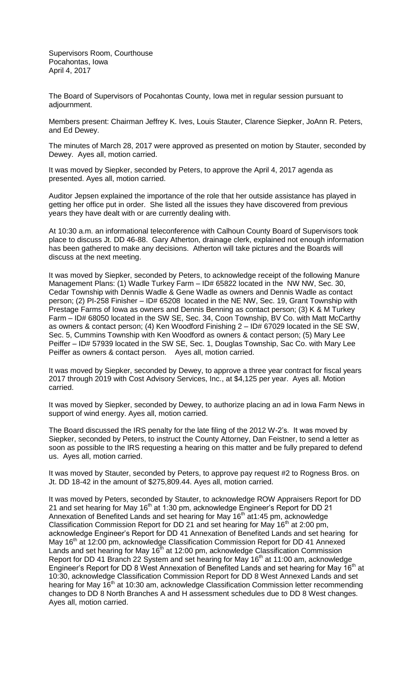Supervisors Room, Courthouse Pocahontas, Iowa April 4, 2017

The Board of Supervisors of Pocahontas County, Iowa met in regular session pursuant to adjournment.

Members present: Chairman Jeffrey K. Ives, Louis Stauter, Clarence Siepker, JoAnn R. Peters, and Ed Dewey.

The minutes of March 28, 2017 were approved as presented on motion by Stauter, seconded by Dewey. Ayes all, motion carried.

It was moved by Siepker, seconded by Peters, to approve the April 4, 2017 agenda as presented. Ayes all, motion carried.

Auditor Jepsen explained the importance of the role that her outside assistance has played in getting her office put in order. She listed all the issues they have discovered from previous years they have dealt with or are currently dealing with.

At 10:30 a.m. an informational teleconference with Calhoun County Board of Supervisors took place to discuss Jt. DD 46-88. Gary Atherton, drainage clerk, explained not enough information has been gathered to make any decisions. Atherton will take pictures and the Boards will discuss at the next meeting.

It was moved by Siepker, seconded by Peters, to acknowledge receipt of the following Manure Management Plans: (1) Wadle Turkey Farm - ID# 65822 located in the NW NW, Sec. 30, Cedar Township with Dennis Wadle & Gene Wadle as owners and Dennis Wadle as contact person; (2) PI-258 Finisher – ID# 65208 located in the NE NW, Sec. 19, Grant Township with Prestage Farms of Iowa as owners and Dennis Benning as contact person; (3) K & M Turkey Farm – ID# 68050 located in the SW SE, Sec. 34, Coon Township, BV Co. with Matt McCarthy as owners & contact person; (4) Ken Woodford Finishing 2 – ID# 67029 located in the SE SW, Sec. 5, Cummins Township with Ken Woodford as owners & contact person; (5) Mary Lee Peiffer – ID# 57939 located in the SW SE, Sec. 1, Douglas Township, Sac Co. with Mary Lee Peiffer as owners & contact person. Ayes all, motion carried.

It was moved by Siepker, seconded by Dewey, to approve a three year contract for fiscal years 2017 through 2019 with Cost Advisory Services, Inc., at \$4,125 per year. Ayes all. Motion carried.

It was moved by Siepker, seconded by Dewey, to authorize placing an ad in Iowa Farm News in support of wind energy. Ayes all, motion carried.

The Board discussed the IRS penalty for the late filing of the 2012 W-2's. It was moved by Siepker, seconded by Peters, to instruct the County Attorney, Dan Feistner, to send a letter as soon as possible to the IRS requesting a hearing on this matter and be fully prepared to defend us. Ayes all, motion carried.

It was moved by Stauter, seconded by Peters, to approve pay request #2 to Rogness Bros. on Jt. DD 18-42 in the amount of \$275,809.44. Ayes all, motion carried.

It was moved by Peters, seconded by Stauter, to acknowledge ROW Appraisers Report for DD 21 and set hearing for May  $16<sup>th</sup>$  at 1:30 pm, acknowledge Engineer's Report for DD 21 Annexation of Benefited Lands and set hearing for May 16<sup>th</sup> at1:45 pm, acknowledge Classification Commission Report for DD 21 and set hearing for May  $16<sup>th</sup>$  at 2:00 pm, acknowledge Engineer's Report for DD 41 Annexation of Benefited Lands and set hearing for May 16<sup>th</sup> at 12:00 pm, acknowledge Classification Commission Report for DD 41 Annexed Lands and set hearing for May  $16<sup>th</sup>$  at 12:00 pm, acknowledge Classification Commission Report for DD 41 Branch 22 System and set hearing for May 16<sup>th</sup> at 11:00 am, acknowledge Engineer's Report for DD 8 West Annexation of Benefited Lands and set hearing for May 16<sup>th</sup> at 10:30, acknowledge Classification Commission Report for DD 8 West Annexed Lands and set hearing for May 16<sup>th</sup> at 10:30 am, acknowledge Classification Commission letter recommending changes to DD 8 North Branches A and H assessment schedules due to DD 8 West changes. Ayes all, motion carried.